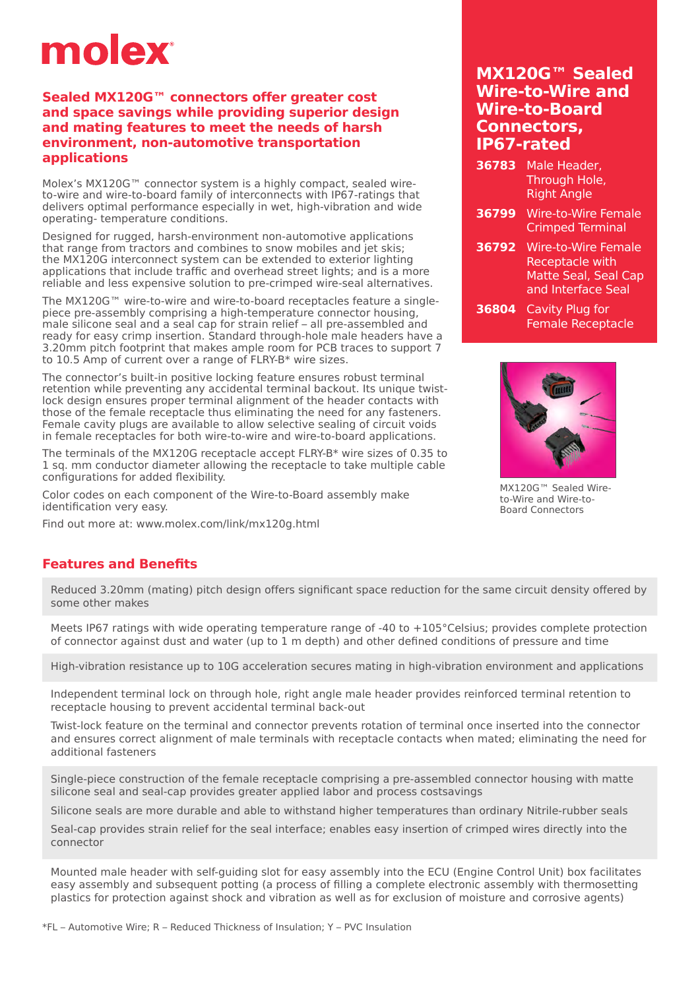# molex

### **Sealed MX120G™ connectors offer greater cost and space savings while providing superior design and mating features to meet the needs of harsh environment, non-automotive transportation applications**

Molex's MX120G™ connector system is a highly compact, sealed wireto-wire and wire-to-board family of interconnects with IP67-ratings that delivers optimal performance especially in wet, high-vibration and wide operating- temperature conditions.

Designed for rugged, harsh-environment non-automotive applications that range from tractors and combines to snow mobiles and jet skis; the MX120G interconnect system can be extended to exterior lighting applications that include traffic and overhead street lights; and is a more reliable and less expensive solution to pre-crimped wire-seal alternatives.

The MX120G™ wire-to-wire and wire-to-board receptacles feature a singlepiece pre-assembly comprising a high-temperature connector housing, male silicone seal and a seal cap for strain relief – all pre-assembled and ready for easy crimp insertion. Standard through-hole male headers have a 3.20mm pitch footprint that makes ample room for PCB traces to support 7 to 10.5 Amp of current over a range of FLRY-B\* wire sizes.

The connector's built-in positive locking feature ensures robust terminal retention while preventing any accidental terminal backout. Its unique twistlock design ensures proper terminal alignment of the header contacts with those of the female receptacle thus eliminating the need for any fasteners. Female cavity plugs are available to allow selective sealing of circuit voids in female receptacles for both wire-to-wire and wire-to-board applications.

The terminals of the MX120G receptacle accept FLRY-B\* wire sizes of 0.35 to 1 sq. mm conductor diameter allowing the receptacle to take multiple cable configurations for added flexibility.

Color codes on each component of the Wire-to-Board assembly make identification very easy.

Find out more at: <www.molex.com/link/mx120g.html>

## **MX120G™ Sealed Wire-to-Wire and Wire-to-Board Connectors, IP67-rated**

- **36783** Male Header, Through Hole, Right Angle
- **36799** Wire-to-Wire Female Crimped Terminal
- **36792** Wire-to-Wire Female Receptacle with Matte Seal, Seal Cap and Interface Seal
- **36804** Cavity Plug for Female Receptacle



MX120G™ Sealed Wireto-Wire and Wire-to-Board Connectors

## **Features and Benefits**

Reduced 3.20mm (mating) pitch design offers significant space reduction for the same circuit density offered by some other makes

Meets IP67 ratings with wide operating temperature range of -40 to +105°Celsius; provides complete protection of connector against dust and water (up to 1 m depth) and other defined conditions of pressure and time

High-vibration resistance up to 10G acceleration secures mating in high-vibration environment and applications

Independent terminal lock on through hole, right angle male header provides reinforced terminal retention to receptacle housing to prevent accidental terminal back-out

Twist-lock feature on the terminal and connector prevents rotation of terminal once inserted into the connector and ensures correct alignment of male terminals with receptacle contacts when mated; eliminating the need for additional fasteners

Single-piece construction of the female receptacle comprising a pre-assembled connector housing with matte silicone seal and seal-cap provides greater applied labor and process costsavings

Silicone seals are more durable and able to withstand higher temperatures than ordinary Nitrile-rubber seals

Seal-cap provides strain relief for the seal interface; enables easy insertion of crimped wires directly into the connector

Mounted male header with self-guiding slot for easy assembly into the ECU (Engine Control Unit) box facilitates easy assembly and subsequent potting (a process of filling a complete electronic assembly with thermosetting plastics for protection against shock and vibration as well as for exclusion of moisture and corrosive agents)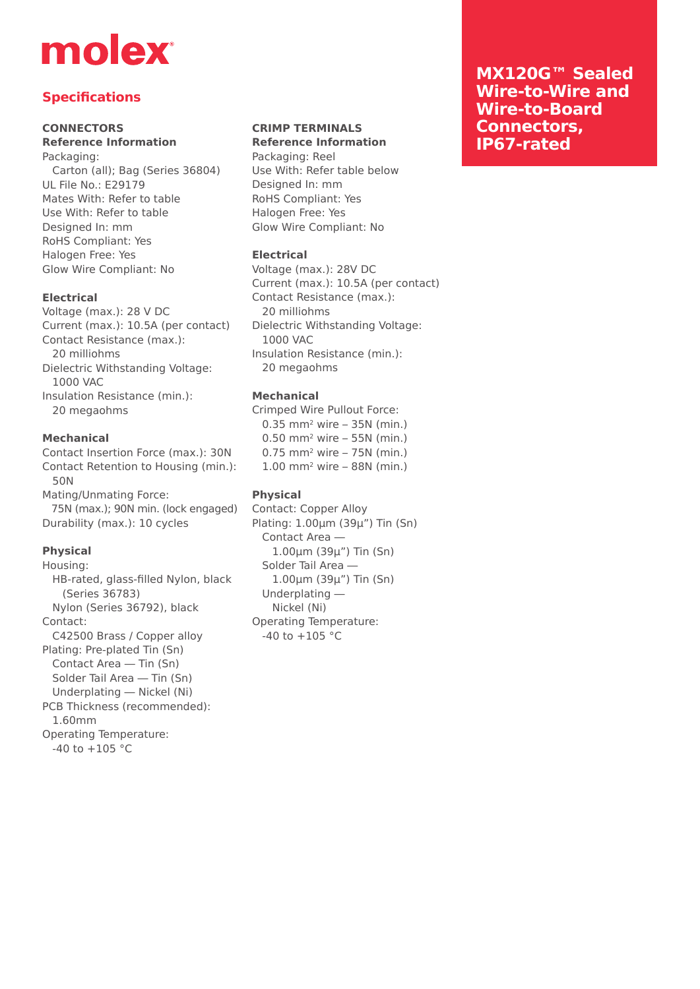# molex

# **Specifications**

### **CONNECTORS**

#### **Reference Information** Packaging:

 Carton (all); Bag (Series 36804) UL File No.: E29179 Mates With: Refer to table Use With: Refer to table Designed In: mm RoHS Compliant: Yes Halogen Free: Yes Glow Wire Compliant: No

### **Electrical**

Voltage (max.): 28 V DC Current (max.): 10.5A (per contact) Contact Resistance (max.): 20 milliohms Dielectric Withstanding Voltage: 1000 VAC Insulation Resistance (min.): 20 megaohms

#### **Mechanical**

Contact Insertion Force (max.): 30N Contact Retention to Housing (min.): 50N Mating/Unmating Force: 75N (max.); 90N min. (lock engaged) Durability (max.): 10 cycles

### **Physical**

Housing: HB-rated, glass-filled Nylon, black (Series 36783) Nylon (Series 36792), black Contact: C42500 Brass / Copper alloy Plating: Pre-plated Tin (Sn) Contact Area — Tin (Sn) Solder Tail Area — Tin (Sn) Underplating — Nickel (Ni) PCB Thickness (recommended): 1.60mm Operating Temperature:  $-40$  to  $+105$  °C

#### **CRIMP TERMINALS Reference Information**

Packaging: Reel Use With: Refer table below Designed In: mm RoHS Compliant: Yes Halogen Free: Yes Glow Wire Compliant: No

### **Electrical**

Voltage (max.): 28V DC Current (max.): 10.5A (per contact) Contact Resistance (max.): 20 milliohms Dielectric Withstanding Voltage: 1000 VAC Insulation Resistance (min.): 20 megaohms

### **Mechanical**

Crimped Wire Pullout Force: 0.35 mm2 wire – 35N (min.) 0.50 mm2 wire – 55N (min.) 0.75 mm2 wire – 75N (min.) 1.00 mm2 wire – 88N (min.)

## **Physical**

Contact: Copper Alloy Plating: 1.00μm (39μ") Tin (Sn) Contact Area — 1.00μm (39μ") Tin (Sn) Solder Tail Area — 1.00μm (39μ") Tin (Sn) Underplating — Nickel (Ni) Operating Temperature:  $-40$  to  $+105$  °C

## **MX120G™ Sealed Wire-to-Wire and Wire-to-Board Connectors, IP67-rated**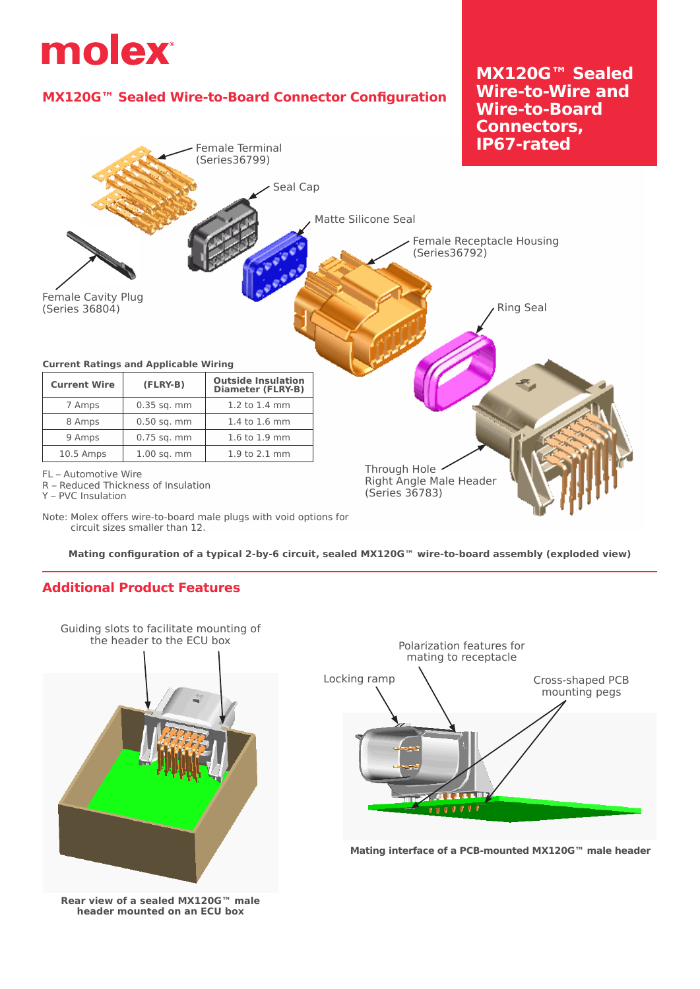

Note: Molex offers wire-to-board male plugs with void options for circuit sizes smaller than 12.

**Mating configuration of a typical 2-by-6 circuit, sealed MX120G™ wire-to-board assembly (exploded view)**

## **Additional Product Features**



**Rear view of a sealed MX120G™ male header mounted on an ECU box**